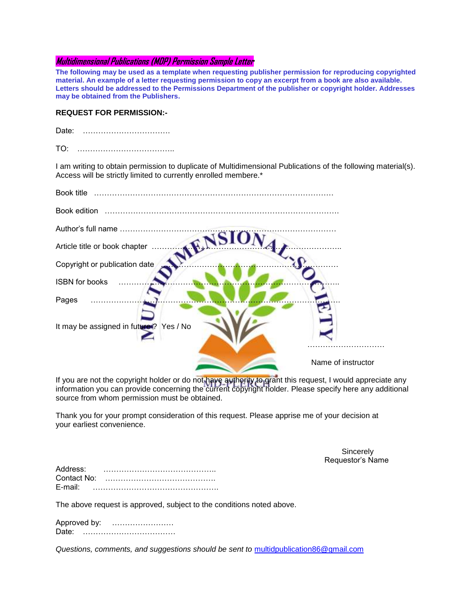## **Multidimensional Publications (MDP) Permission Sample Letter**

**The following may be used as a template when requesting publisher permission for reproducing copyrighted material. An example of a letter requesting permission to copy an excerpt from a book are also available. Letters should be addressed to the Permissions Department of the publisher or copyright holder. Addresses may be obtained from the Publishers.** 

## **REQUEST FOR PERMISSION:-**

| Date: |  |
|-------|--|
| TO:   |  |

I am writing to obtain permission to duplicate of Multidimensional Publications of the following material(s). Access will be strictly limited to currently enrolled membere.\*

| Book title                              |                    |
|-----------------------------------------|--------------------|
| Book edition                            |                    |
|                                         |                    |
| Article title or book chapter           |                    |
| Copyright or publication date           |                    |
| ISBN for books                          |                    |
| Pages                                   |                    |
| It may be assigned in future ? Yes / No |                    |
|                                         | Name of instructor |

If you are not the copyright holder or do not have authority to grant this request, I would appreciate any information you can provide concerning the current copyright holder. Please specify here any additional source from whom permission must be obtained.

Thank you for your prompt consideration of this request. Please apprise me of your decision at your earliest convenience.

the control of the control of the control of the control of the control of the control of the control of the c Requestor's Name

| Address:    |  |
|-------------|--|
| Contact No: |  |
| $E$ -mail:  |  |

The above request is approved, subject to the conditions noted above.

Approved by: …………………… Date: ………………………………

*Questions, comments, and suggestions should be sent to* [multidpublication86@gmail.com](mailto:multidpublication86@gmail.com)